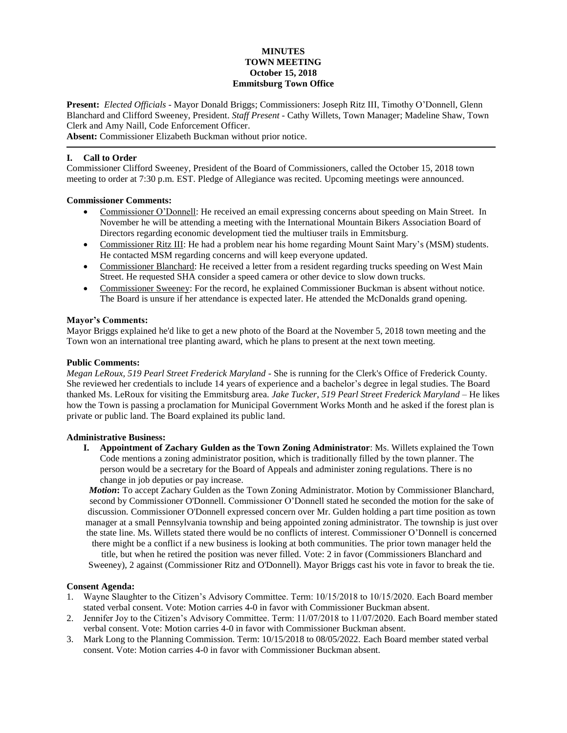#### **MINUTES TOWN MEETING October 15, 2018 Emmitsburg Town Office**

**Present:** *Elected Officials* - Mayor Donald Briggs; Commissioners: Joseph Ritz III, Timothy O'Donnell, Glenn Blanchard and Clifford Sweeney, President. *Staff Present* - Cathy Willets, Town Manager; Madeline Shaw, Town Clerk and Amy Naill, Code Enforcement Officer.

**Absent:** Commissioner Elizabeth Buckman without prior notice.

### **I. Call to Order**

Commissioner Clifford Sweeney, President of the Board of Commissioners, called the October 15, 2018 town meeting to order at 7:30 p.m. EST. Pledge of Allegiance was recited. Upcoming meetings were announced.

### **Commissioner Comments:**

- Commissioner O'Donnell: He received an email expressing concerns about speeding on Main Street. In November he will be attending a meeting with the International Mountain Bikers Association Board of Directors regarding economic development tied the multiuser trails in Emmitsburg.
- Commissioner Ritz III: He had a problem near his home regarding Mount Saint Mary's (MSM) students. He contacted MSM regarding concerns and will keep everyone updated.
- Commissioner Blanchard: He received a letter from a resident regarding trucks speeding on West Main Street. He requested SHA consider a speed camera or other device to slow down trucks.
- Commissioner Sweeney: For the record, he explained Commissioner Buckman is absent without notice. The Board is unsure if her attendance is expected later. He attended the McDonalds grand opening.

### **Mayor's Comments:**

Mayor Briggs explained he'd like to get a new photo of the Board at the November 5, 2018 town meeting and the Town won an international tree planting award, which he plans to present at the next town meeting.

#### **Public Comments:**

*Megan LeRoux, 519 Pearl Street Frederick Maryland -* She is running for the Clerk's Office of Frederick County. She reviewed her credentials to include 14 years of experience and a bachelor's degree in legal studies. The Board thanked Ms. LeRoux for visiting the Emmitsburg area. *Jake Tucker*, *519 Pearl Street Frederick Maryland –* He likes how the Town is passing a proclamation for Municipal Government Works Month and he asked if the forest plan is private or public land. The Board explained its public land.

### **Administrative Business:**

**I. Appointment of Zachary Gulden as the Town Zoning Administrator**: Ms. Willets explained the Town Code mentions a zoning administrator position, which is traditionally filled by the town planner. The person would be a secretary for the Board of Appeals and administer zoning regulations. There is no change in job deputies or pay increase.

*Motion***:** To accept Zachary Gulden as the Town Zoning Administrator. Motion by Commissioner Blanchard, second by Commissioner O'Donnell. Commissioner O'Donnell stated he seconded the motion for the sake of discussion. Commissioner O'Donnell expressed concern over Mr. Gulden holding a part time position as town manager at a small Pennsylvania township and being appointed zoning administrator. The township is just over the state line. Ms. Willets stated there would be no conflicts of interest. Commissioner O'Donnell is concerned

there might be a conflict if a new business is looking at both communities. The prior town manager held the title, but when he retired the position was never filled. Vote: 2 in favor (Commissioners Blanchard and Sweeney), 2 against (Commissioner Ritz and O'Donnell). Mayor Briggs cast his vote in favor to break the tie.

### **Consent Agenda:**

- 1. Wayne Slaughter to the Citizen's Advisory Committee. Term: 10/15/2018 to 10/15/2020. Each Board member stated verbal consent. Vote: Motion carries 4-0 in favor with Commissioner Buckman absent.
- 2. Jennifer Joy to the Citizen's Advisory Committee. Term: 11/07/2018 to 11/07/2020. Each Board member stated verbal consent. Vote: Motion carries 4-0 in favor with Commissioner Buckman absent.
- 3. Mark Long to the Planning Commission. Term: 10/15/2018 to 08/05/2022. Each Board member stated verbal consent. Vote: Motion carries 4-0 in favor with Commissioner Buckman absent.